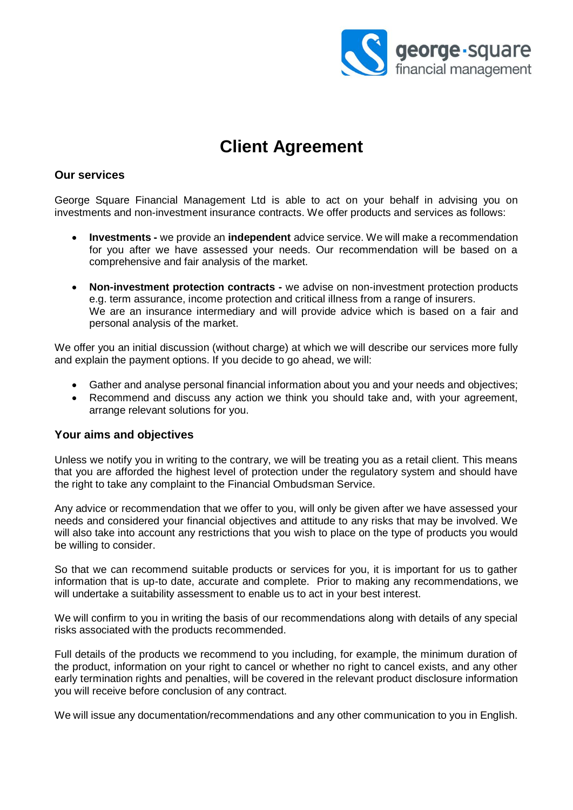

# **Client Agreement**

# **Our services**

George Square Financial Management Ltd is able to act on your behalf in advising you on investments and non-investment insurance contracts. We offer products and services as follows:

- **Investments -** we provide an **independent** advice service. We will make a recommendation for you after we have assessed your needs. Our recommendation will be based on a comprehensive and fair analysis of the market.
- **Non-investment protection contracts -** we advise on non-investment protection products e.g. term assurance, income protection and critical illness from a range of insurers. We are an insurance intermediary and will provide advice which is based on a fair and personal analysis of the market.

We offer you an initial discussion (without charge) at which we will describe our services more fully and explain the payment options. If you decide to go ahead, we will:

- Gather and analyse personal financial information about you and your needs and objectives;
- Recommend and discuss any action we think you should take and, with your agreement, arrange relevant solutions for you.

## **Your aims and objectives**

Unless we notify you in writing to the contrary, we will be treating you as a retail client. This means that you are afforded the highest level of protection under the regulatory system and should have the right to take any complaint to the Financial Ombudsman Service.

Any advice or recommendation that we offer to you, will only be given after we have assessed your needs and considered your financial objectives and attitude to any risks that may be involved. We will also take into account any restrictions that you wish to place on the type of products you would be willing to consider.

So that we can recommend suitable products or services for you, it is important for us to gather information that is up-to date, accurate and complete. Prior to making any recommendations, we will undertake a suitability assessment to enable us to act in your best interest.

We will confirm to you in writing the basis of our recommendations along with details of any special risks associated with the products recommended.

Full details of the products we recommend to you including, for example, the minimum duration of the product, information on your right to cancel or whether no right to cancel exists, and any other early termination rights and penalties, will be covered in the relevant product disclosure information you will receive before conclusion of any contract.

We will issue any documentation/recommendations and any other communication to you in English.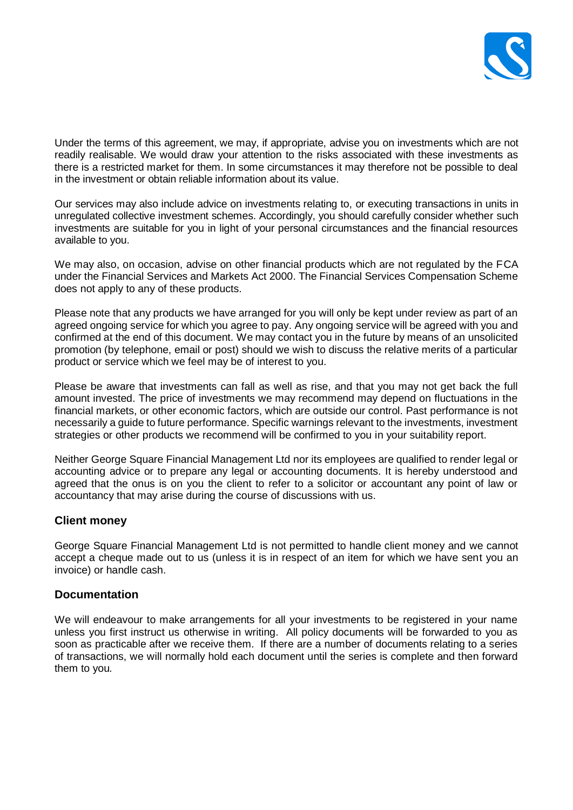

Under the terms of this agreement, we may, if appropriate, advise you on investments which are not readily realisable. We would draw your attention to the risks associated with these investments as there is a restricted market for them. In some circumstances it may therefore not be possible to deal in the investment or obtain reliable information about its value.

Our services may also include advice on investments relating to, or executing transactions in units in unregulated collective investment schemes. Accordingly, you should carefully consider whether such investments are suitable for you in light of your personal circumstances and the financial resources available to you.

We may also, on occasion, advise on other financial products which are not regulated by the FCA under the Financial Services and Markets Act 2000. The Financial Services Compensation Scheme does not apply to any of these products.

Please note that any products we have arranged for you will only be kept under review as part of an agreed ongoing service for which you agree to pay. Any ongoing service will be agreed with you and confirmed at the end of this document. We may contact you in the future by means of an unsolicited promotion (by telephone, email or post) should we wish to discuss the relative merits of a particular product or service which we feel may be of interest to you.

Please be aware that investments can fall as well as rise, and that you may not get back the full amount invested. The price of investments we may recommend may depend on fluctuations in the financial markets, or other economic factors, which are outside our control. Past performance is not necessarily a guide to future performance. Specific warnings relevant to the investments, investment strategies or other products we recommend will be confirmed to you in your suitability report.

Neither George Square Financial Management Ltd nor its employees are qualified to render legal or accounting advice or to prepare any legal or accounting documents. It is hereby understood and agreed that the onus is on you the client to refer to a solicitor or accountant any point of law or accountancy that may arise during the course of discussions with us.

# **Client money**

George Square Financial Management Ltd is not permitted to handle client money and we cannot accept a cheque made out to us (unless it is in respect of an item for which we have sent you an invoice) or handle cash.

# **Documentation**

We will endeavour to make arrangements for all your investments to be registered in your name unless you first instruct us otherwise in writing. All policy documents will be forwarded to you as soon as practicable after we receive them. If there are a number of documents relating to a series of transactions, we will normally hold each document until the series is complete and then forward them to you*.*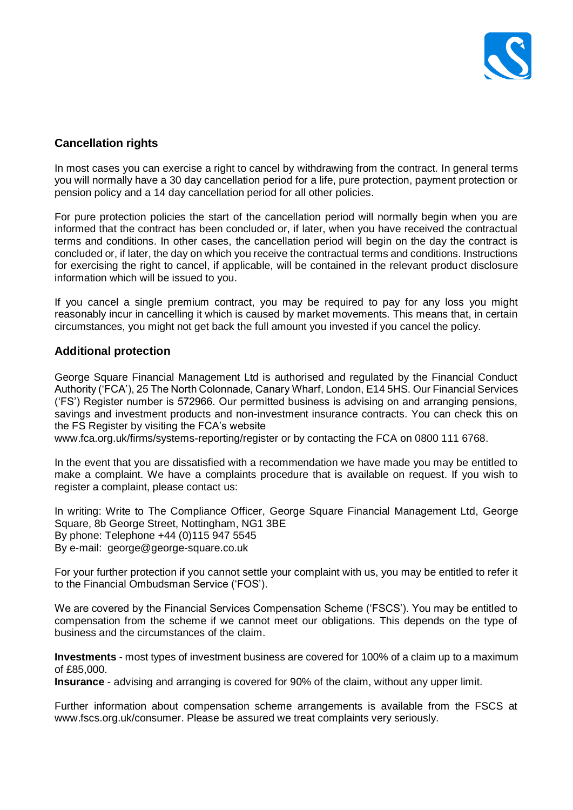

# **Cancellation rights**

In most cases you can exercise a right to cancel by withdrawing from the contract. In general terms you will normally have a 30 day cancellation period for a life, pure protection, payment protection or pension policy and a 14 day cancellation period for all other policies.

For pure protection policies the start of the cancellation period will normally begin when you are informed that the contract has been concluded or, if later, when you have received the contractual terms and conditions. In other cases, the cancellation period will begin on the day the contract is concluded or, if later, the day on which you receive the contractual terms and conditions. Instructions for exercising the right to cancel, if applicable, will be contained in the relevant product disclosure information which will be issued to you.

If you cancel a single premium contract, you may be required to pay for any loss you might reasonably incur in cancelling it which is caused by market movements. This means that, in certain circumstances, you might not get back the full amount you invested if you cancel the policy.

# **Additional protection**

George Square Financial Management Ltd is authorised and regulated by the Financial Conduct Authority ('FCA'), 25 The North Colonnade, Canary Wharf, London, E14 5HS. Our Financial Services ('FS') Register number is 572966. Our permitted business is advising on and arranging pensions, savings and investment products and non-investment insurance contracts. You can check this on the FS Register by visiting the FCA's website

www.fca.org.uk/firms/systems-reporting/register or by contacting the FCA on 0800 111 6768.

In the event that you are dissatisfied with a recommendation we have made you may be entitled to make a complaint. We have a complaints procedure that is available on request. If you wish to register a complaint, please contact us:

In writing: Write to The Compliance Officer, George Square Financial Management Ltd, George Square, 8b George Street, Nottingham, NG1 3BE By phone: Telephone +44 (0)115 947 5545 By e-mail: george@george-square.co.uk

For your further protection if you cannot settle your complaint with us, you may be entitled to refer it to the Financial Ombudsman Service ('FOS').

We are covered by the Financial Services Compensation Scheme ('FSCS'). You may be entitled to compensation from the scheme if we cannot meet our obligations. This depends on the type of business and the circumstances of the claim.

**Investments** - most types of investment business are covered for 100% of a claim up to a maximum of £85,000.

**Insurance** - advising and arranging is covered for 90% of the claim, without any upper limit.

Further information about compensation scheme arrangements is available from the FSCS at [www.fscs.org.uk/consumer.](http://www.fscs.org.uk/consumer) Please be assured we treat complaints very seriously.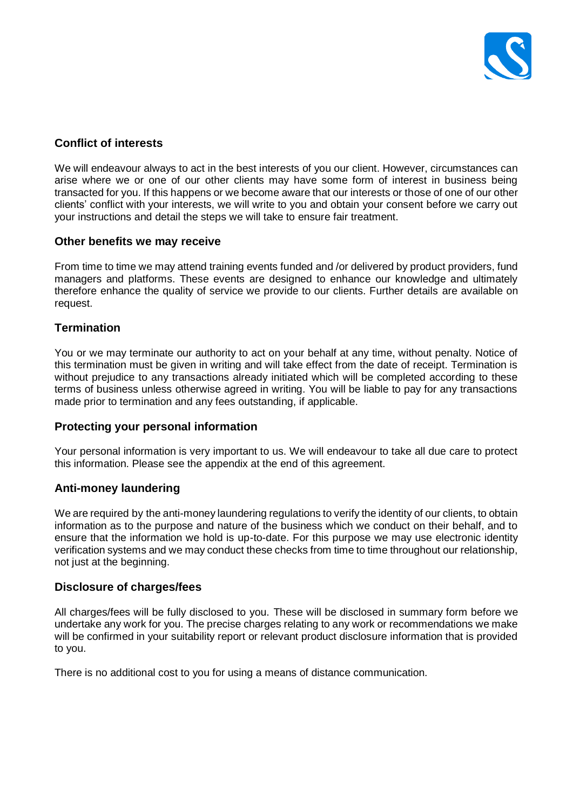

# **Conflict of interests**

We will endeavour always to act in the best interests of you our client. However, circumstances can arise where we or one of our other clients may have some form of interest in business being transacted for you. If this happens or we become aware that our interests or those of one of our other clients' conflict with your interests, we will write to you and obtain your consent before we carry out your instructions and detail the steps we will take to ensure fair treatment.

## **Other benefits we may receive**

From time to time we may attend training events funded and /or delivered by product providers, fund managers and platforms. These events are designed to enhance our knowledge and ultimately therefore enhance the quality of service we provide to our clients. Further details are available on request.

## **Termination**

You or we may terminate our authority to act on your behalf at any time, without penalty. Notice of this termination must be given in writing and will take effect from the date of receipt. Termination is without prejudice to any transactions already initiated which will be completed according to these terms of business unless otherwise agreed in writing. You will be liable to pay for any transactions made prior to termination and any fees outstanding, if applicable.

## **Protecting your personal information**

Your personal information is very important to us. We will endeavour to take all due care to protect this information. Please see the appendix at the end of this agreement.

## **Anti-money laundering**

We are required by the anti-money laundering regulations to verify the identity of our clients, to obtain information as to the purpose and nature of the business which we conduct on their behalf, and to ensure that the information we hold is up-to-date. For this purpose we may use electronic identity verification systems and we may conduct these checks from time to time throughout our relationship, not just at the beginning.

## **Disclosure of charges/fees**

All charges/fees will be fully disclosed to you. These will be disclosed in summary form before we undertake any work for you. The precise charges relating to any work or recommendations we make will be confirmed in your suitability report or relevant product disclosure information that is provided to you.

There is no additional cost to you for using a means of distance communication.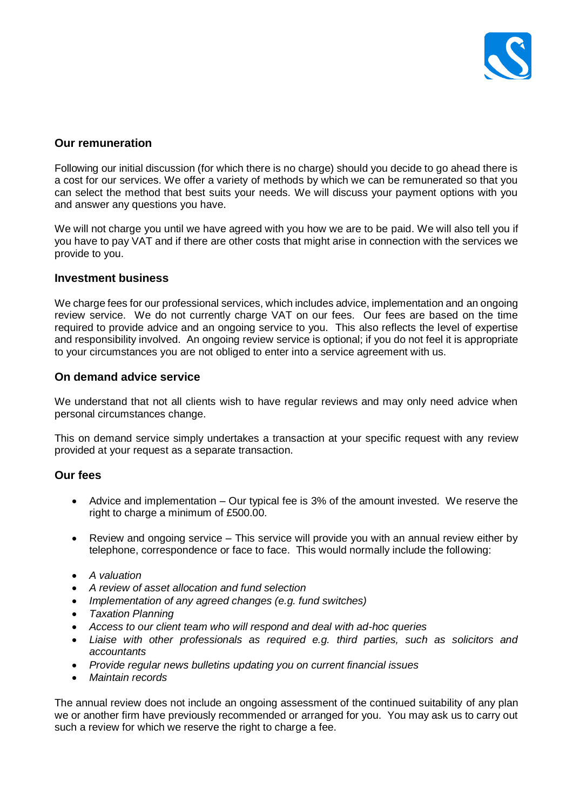

## **Our remuneration**

Following our initial discussion (for which there is no charge) should you decide to go ahead there is a cost for our services. We offer a variety of methods by which we can be remunerated so that you can select the method that best suits your needs. We will discuss your payment options with you and answer any questions you have.

We will not charge you until we have agreed with you how we are to be paid. We will also tell you if you have to pay VAT and if there are other costs that might arise in connection with the services we provide to you.

## **Investment business**

We charge fees for our professional services, which includes advice, implementation and an ongoing review service. We do not currently charge VAT on our fees. Our fees are based on the time required to provide advice and an ongoing service to you. This also reflects the level of expertise and responsibility involved. An ongoing review service is optional; if you do not feel it is appropriate to your circumstances you are not obliged to enter into a service agreement with us.

## **On demand advice service**

We understand that not all clients wish to have regular reviews and may only need advice when personal circumstances change.

This on demand service simply undertakes a transaction at your specific request with any review provided at your request as a separate transaction.

## **Our fees**

- Advice and implementation Our typical fee is 3% of the amount invested. We reserve the right to charge a minimum of £500.00.
- Review and ongoing service This service will provide you with an annual review either by telephone, correspondence or face to face. This would normally include the following:
- *A valuation*
- *A review of asset allocation and fund selection*
- *Implementation of any agreed changes (e.g. fund switches)*
- *Taxation Planning*
- *Access to our client team who will respond and deal with ad-hoc queries*
- *Liaise with other professionals as required e.g. third parties, such as solicitors and accountants*
- *Provide regular news bulletins updating you on current financial issues*
- *Maintain records*

The annual review does not include an ongoing assessment of the continued suitability of any plan we or another firm have previously recommended or arranged for you. You may ask us to carry out such a review for which we reserve the right to charge a fee.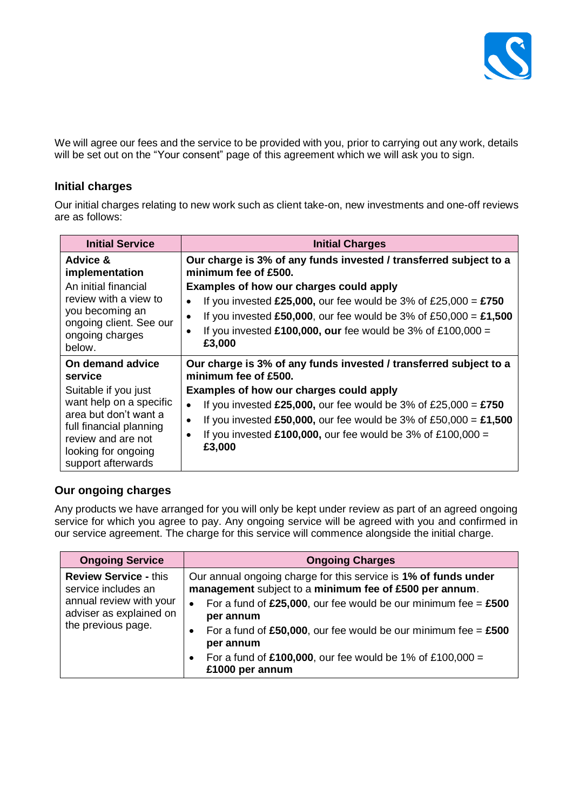

We will agree our fees and the service to be provided with you, prior to carrying out any work, details will be set out on the "Your consent" page of this agreement which we will ask you to sign.

# **Initial charges**

Our initial charges relating to new work such as client take-on, new investments and one-off reviews are as follows:

| <b>Initial Service</b>                                                                                                                                                          | <b>Initial Charges</b>                                                                                                                                                                                                                                                                                                                                              |
|---------------------------------------------------------------------------------------------------------------------------------------------------------------------------------|---------------------------------------------------------------------------------------------------------------------------------------------------------------------------------------------------------------------------------------------------------------------------------------------------------------------------------------------------------------------|
| Advice &<br>implementation                                                                                                                                                      | Our charge is 3% of any funds invested / transferred subject to a<br>minimum fee of £500.                                                                                                                                                                                                                                                                           |
| An initial financial<br>review with a view to<br>you becoming an<br>ongoing client. See our<br>ongoing charges<br>below.                                                        | Examples of how our charges could apply<br>If you invested £25,000, our fee would be 3% of £25,000 = £750<br>If you invested £50,000, our fee would be 3% of £50,000 = £1,500<br>If you invested £100,000, our fee would be 3% of £100,000 =<br>£3,000                                                                                                              |
| On demand advice<br>service<br>Suitable if you just<br>want help on a specific<br>area but don't want a<br>full financial planning<br>review and are not<br>looking for ongoing | Our charge is 3% of any funds invested / transferred subject to a<br>minimum fee of £500.<br>Examples of how our charges could apply<br>If you invested £25,000, our fee would be 3% of £25,000 = £750<br>If you invested £50,000, our fee would be 3% of £50,000 = £1,500<br>$\bullet$<br>If you invested $£100,000$ , our fee would be 3% of £100,000 =<br>£3,000 |
| support afterwards                                                                                                                                                              |                                                                                                                                                                                                                                                                                                                                                                     |

# **Our ongoing charges**

Any products we have arranged for you will only be kept under review as part of an agreed ongoing service for which you agree to pay. Any ongoing service will be agreed with you and confirmed in our service agreement. The charge for this service will commence alongside the initial charge.

| <b>Ongoing Service</b>                                                                                                          | <b>Ongoing Charges</b>                                                                                                    |
|---------------------------------------------------------------------------------------------------------------------------------|---------------------------------------------------------------------------------------------------------------------------|
| <b>Review Service - this</b><br>service includes an<br>annual review with your<br>adviser as explained on<br>the previous page. | Our annual ongoing charge for this service is 1% of funds under<br>management subject to a minimum fee of £500 per annum. |
|                                                                                                                                 | For a fund of £25,000, our fee would be our minimum fee = $£500$<br>$\bullet$<br>per annum                                |
|                                                                                                                                 | For a fund of £50,000, our fee would be our minimum fee = $£500$<br>$\bullet$<br>per annum                                |
|                                                                                                                                 | For a fund of £100,000, our fee would be 1% of £100,000 =<br>$\bullet$<br>£1000 per annum                                 |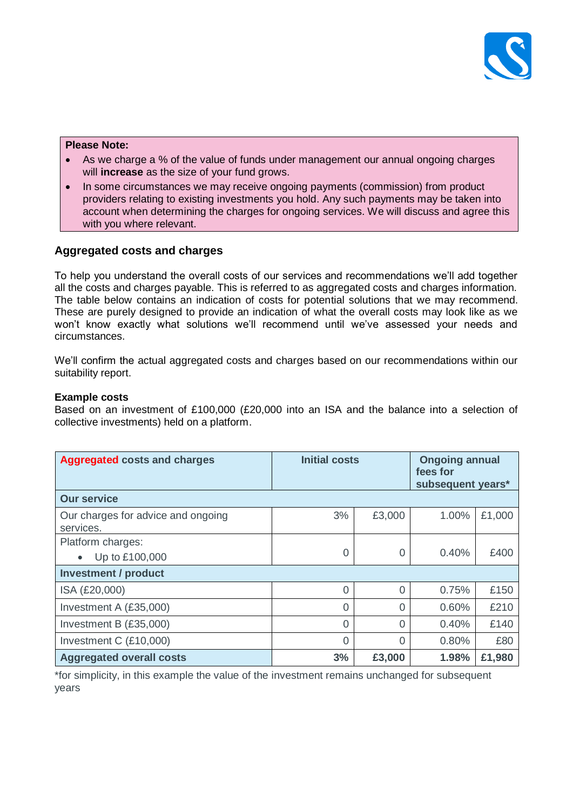

#### **Please Note:**

- As we charge a % of the value of funds under management our annual ongoing charges will **increase** as the size of your fund grows.
- In some circumstances we may receive ongoing payments (commission) from product providers relating to existing investments you hold. Any such payments may be taken into account when determining the charges for ongoing services. We will discuss and agree this with you where relevant.

# **Aggregated costs and charges**

To help you understand the overall costs of our services and recommendations we'll add together all the costs and charges payable. This is referred to as aggregated costs and charges information. The table below contains an indication of costs for potential solutions that we may recommend. These are purely designed to provide an indication of what the overall costs may look like as we won't know exactly what solutions we'll recommend until we've assessed your needs and circumstances.

We'll confirm the actual aggregated costs and charges based on our recommendations within our suitability report.

## **Example costs**

Based on an investment of £100,000 (£20,000 into an ISA and the balance into a selection of collective investments) held on a platform.

| <b>Aggregated costs and charges</b>             | <b>Initial costs</b> |          | <b>Ongoing annual</b><br>fees for<br>subsequent years* |        |  |
|-------------------------------------------------|----------------------|----------|--------------------------------------------------------|--------|--|
| <b>Our service</b>                              |                      |          |                                                        |        |  |
| Our charges for advice and ongoing<br>services. | 3%                   | £3,000   | 1.00%                                                  | £1,000 |  |
| Platform charges:<br>Up to £100,000             | $\Omega$             | $\Omega$ | 0.40%                                                  | £400   |  |
| <b>Investment / product</b>                     |                      |          |                                                        |        |  |
| ISA (£20,000)                                   | $\Omega$             | $\Omega$ | 0.75%                                                  | £150   |  |
| Investment A (£35,000)                          | $\Omega$             | $\Omega$ | 0.60%                                                  | £210   |  |
| Investment B (£35,000)                          | $\Omega$             | $\Omega$ | 0.40%                                                  | £140   |  |
| Investment C (£10,000)                          | $\Omega$             | $\Omega$ | 0.80%                                                  | £80    |  |
| <b>Aggregated overall costs</b>                 | 3%                   | £3,000   | 1.98%                                                  | £1,980 |  |

\*for simplicity, in this example the value of the investment remains unchanged for subsequent years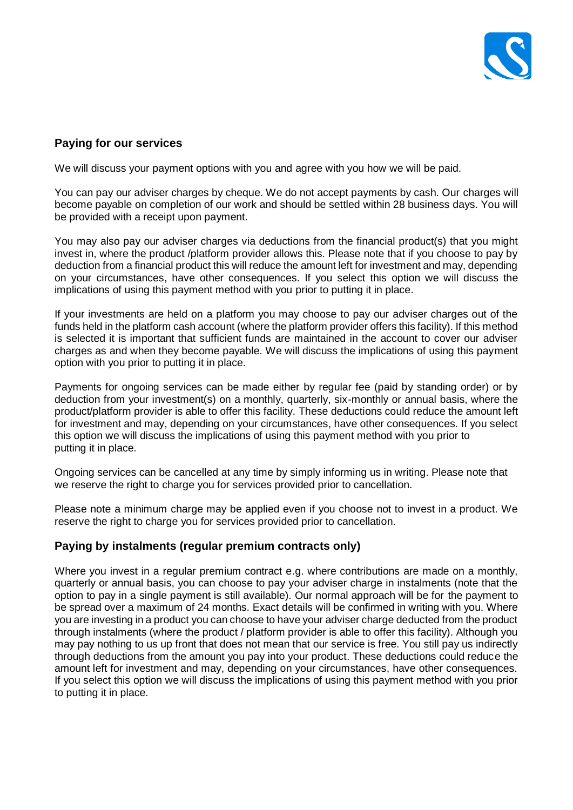

# **Paying for our services**

We will discuss your payment options with you and agree with you how we will be paid.

You can pay our adviser charges by cheque. We do not accept payments by cash. Our charges will become payable on completion of our work and should be settled within 28 business days. You will be provided with a receipt upon payment.

You may also pay our adviser charges via deductions from the financial product(s) that you might invest in, where the product /platform provider allows this. Please note that if you choose to pay by deduction from a financial product this will reduce the amount left for investment and may, depending on your circumstances, have other consequences. If you select this option we will discuss the implications of using this payment method with you prior to putting it in place.

If your investments are held on a platform you may choose to pay our adviser charges out of the funds held in the platform cash account (where the platform provider offers this facility). If this method is selected it is important that sufficient funds are maintained in the account to cover our adviser charges as and when they become payable. We will discuss the implications of using this payment option with you prior to putting it in place.

Payments for ongoing services can be made either by regular fee (paid by standing order) or by deduction from your investment(s) on a monthly, quarterly, six-monthly or annual basis, where the product/platform provider is able to offer this facility. These deductions could reduce the amount left for investment and may, depending on your circumstances, have other consequences. If you select this option we will discuss the implications of using this payment method with you prior to putting it in place.

Ongoing services can be cancelled at any time by simply informing us in writing. Please note that we reserve the right to charge you for services provided prior to cancellation.

Please note a minimum charge may be applied even if you choose not to invest in a product. We reserve the right to charge you for services provided prior to cancellation.

# **Paying by instalments (regular premium contracts only)**

Where you invest in a regular premium contract e.g. where contributions are made on a monthly, quarterly or annual basis, you can choose to pay your adviser charge in instalments (note that the option to pay in a single payment is still available). Our normal approach will be for the payment to be spread over a maximum of 24 months. Exact details will be confirmed in writing with you. Where you are investing in a product you can choose to have your adviser charge deducted from the product through instalments (where the product / platform provider is able to offer this facility). Although you may pay nothing to us up front that does not mean that our service is free. You still pay us indirectly through deductions from the amount you pay into your product. These deductions could reduce the amount left for investment and may, depending on your circumstances, have other consequences. If you select this option we will discuss the implications of using this payment method with you prior to putting it in place.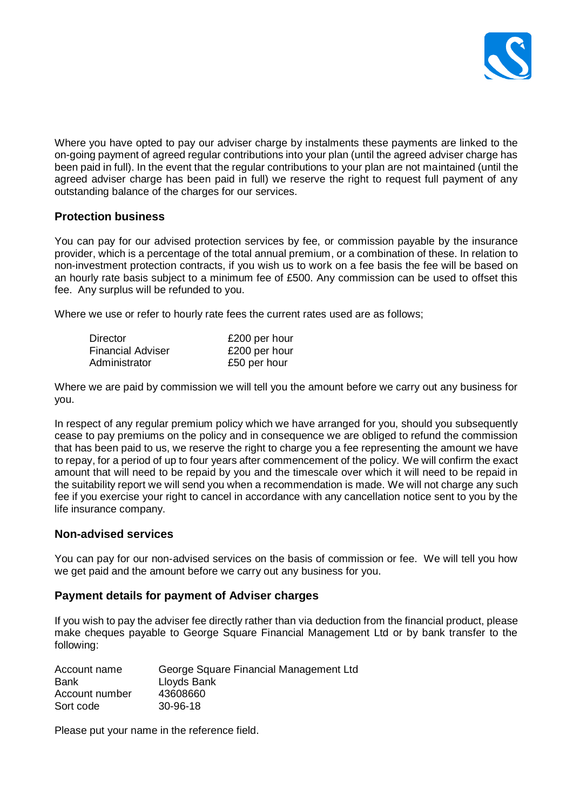

Where you have opted to pay our adviser charge by instalments these payments are linked to the on-going payment of agreed regular contributions into your plan (until the agreed adviser charge has been paid in full). In the event that the regular contributions to your plan are not maintained (until the agreed adviser charge has been paid in full) we reserve the right to request full payment of any outstanding balance of the charges for our services.

## **Protection business**

You can pay for our advised protection services by fee, or commission payable by the insurance provider, which is a percentage of the total annual premium, or a combination of these. In relation to non-investment protection contracts, if you wish us to work on a fee basis the fee will be based on an hourly rate basis subject to a minimum fee of £500. Any commission can be used to offset this fee. Any surplus will be refunded to you.

Where we use or refer to hourly rate fees the current rates used are as follows;

| Director          | £200 per hour |
|-------------------|---------------|
| Financial Adviser | £200 per hour |
| Administrator     | £50 per hour  |

Where we are paid by commission we will tell you the amount before we carry out any business for you.

In respect of any regular premium policy which we have arranged for you, should you subsequently cease to pay premiums on the policy and in consequence we are obliged to refund the commission that has been paid to us, we reserve the right to charge you a fee representing the amount we have to repay, for a period of up to four years after commencement of the policy. We will confirm the exact amount that will need to be repaid by you and the timescale over which it will need to be repaid in the suitability report we will send you when a recommendation is made. We will not charge any such fee if you exercise your right to cancel in accordance with any cancellation notice sent to you by the life insurance company.

## **Non-advised services**

You can pay for our non-advised services on the basis of commission or fee. We will tell you how we get paid and the amount before we carry out any business for you.

## **Payment details for payment of Adviser charges**

If you wish to pay the adviser fee directly rather than via deduction from the financial product, please make cheques payable to George Square Financial Management Ltd or by bank transfer to the following:

| Account name   | George Square Financial Management Ltd |
|----------------|----------------------------------------|
| <b>Bank</b>    | Lloyds Bank                            |
| Account number | 43608660                               |
| Sort code      | 30-96-18                               |

Please put your name in the reference field.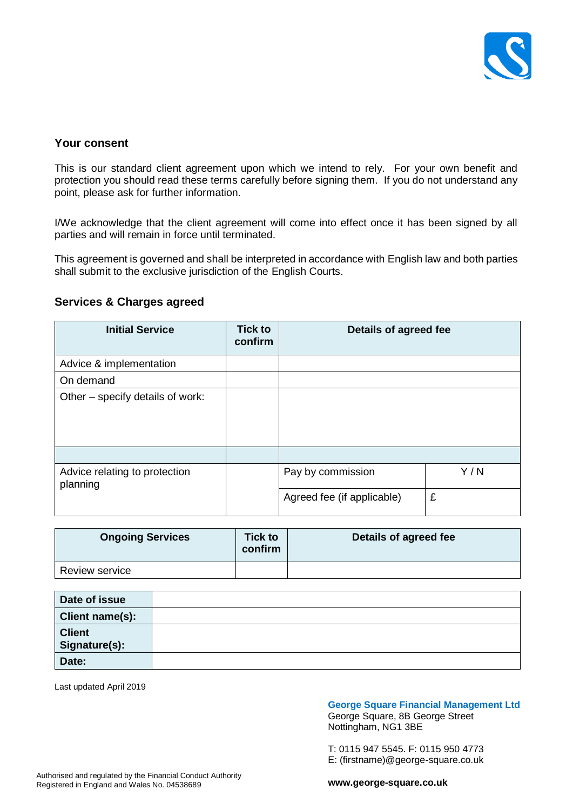

# **Your consent**

This is our standard client agreement upon which we intend to rely. For your own benefit and protection you should read these terms carefully before signing them. If you do not understand any point, please ask for further information.

I/We acknowledge that the client agreement will come into effect once it has been signed by all parties and will remain in force until terminated.

This agreement is governed and shall be interpreted in accordance with English law and both parties shall submit to the exclusive jurisdiction of the English Courts.

## **Services & Charges agreed**

| <b>Initial Service</b>                    | <b>Tick to</b><br>confirm | Details of agreed fee      |     |  |
|-------------------------------------------|---------------------------|----------------------------|-----|--|
| Advice & implementation                   |                           |                            |     |  |
| On demand                                 |                           |                            |     |  |
| Other – specify details of work:          |                           |                            |     |  |
|                                           |                           |                            |     |  |
| Advice relating to protection<br>planning |                           | Pay by commission          | Y/N |  |
|                                           |                           | Agreed fee (if applicable) | £   |  |

| <b>Ongoing Services</b> | <b>Tick to</b><br>confirm | Details of agreed fee |
|-------------------------|---------------------------|-----------------------|
| <b>Review service</b>   |                           |                       |

| Date of issue                  |  |
|--------------------------------|--|
| Client name(s):                |  |
| <b>Client</b><br>Signature(s): |  |
| Date:                          |  |

Last updated April 2019

#### **George Square Financial Management Ltd**

George Square, 8B George Street Nottingham, NG1 3BE

T: 0115 947 5545. F: 0115 950 4773 E: (firstname)@george-square.co.uk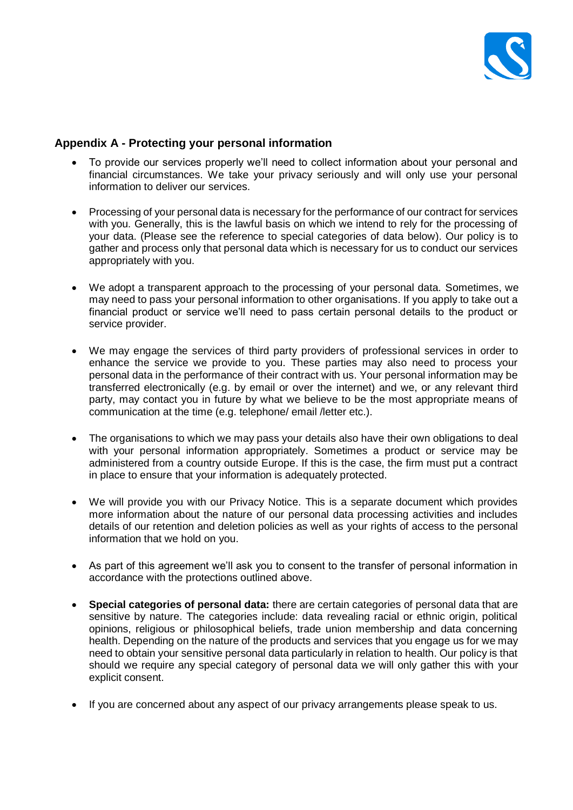

# **Appendix A - Protecting your personal information**

- To provide our services properly we'll need to collect information about your personal and financial circumstances. We take your privacy seriously and will only use your personal information to deliver our services.
- Processing of your personal data is necessary for the performance of our contract for services with you. Generally, this is the lawful basis on which we intend to rely for the processing of your data. (Please see the reference to special categories of data below). Our policy is to gather and process only that personal data which is necessary for us to conduct our services appropriately with you.
- We adopt a transparent approach to the processing of your personal data. Sometimes, we may need to pass your personal information to other organisations. If you apply to take out a financial product or service we'll need to pass certain personal details to the product or service provider.
- We may engage the services of third party providers of professional services in order to enhance the service we provide to you. These parties may also need to process your personal data in the performance of their contract with us. Your personal information may be transferred electronically (e.g. by email or over the internet) and we, or any relevant third party, may contact you in future by what we believe to be the most appropriate means of communication at the time (e.g. telephone/ email /letter etc.).
- The organisations to which we may pass your details also have their own obligations to deal with your personal information appropriately. Sometimes a product or service may be administered from a country outside Europe. If this is the case, the firm must put a contract in place to ensure that your information is adequately protected.
- We will provide you with our Privacy Notice. This is a separate document which provides more information about the nature of our personal data processing activities and includes details of our retention and deletion policies as well as your rights of access to the personal information that we hold on you.
- As part of this agreement we'll ask you to consent to the transfer of personal information in accordance with the protections outlined above.
- **Special categories of personal data:** there are certain categories of personal data that are sensitive by nature. The categories include: data revealing racial or ethnic origin, political opinions, religious or philosophical beliefs, trade union membership and data concerning health. Depending on the nature of the products and services that you engage us for we may need to obtain your sensitive personal data particularly in relation to health. Our policy is that should we require any special category of personal data we will only gather this with your explicit consent.
- If you are concerned about any aspect of our privacy arrangements please speak to us.